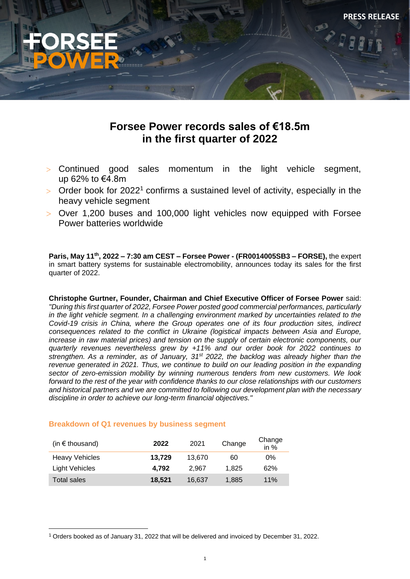

**PRESS RELEASE**

# **Forsee Power records sales of €18.5m in the first quarter of 2022**

- Continued good sales momentum in the light vehicle segment, up 62% to €4.8m
- $>$  Order book for 2022<sup>1</sup> confirms a sustained level of activity, especially in the heavy vehicle segment
- Over 1,200 buses and 100,000 light vehicles now equipped with Forsee Power batteries worldwide

**Paris, May 11th, 2022 – 7:30 am CEST – Forsee Power - (FR0014005SB3 – FORSE),** the expert in smart battery systems for sustainable electromobility, announces today its sales for the first quarter of 2022.

**Christophe Gurtner, Founder, Chairman and Chief Executive Officer of Forsee Power** said: *"During this first quarter of 2022, Forsee Power posted good commercial performances, particularly in the light vehicle segment. In a challenging environment marked by uncertainties related to the Covid-19 crisis in China, where the Group operates one of its four production sites, indirect consequences related to the conflict in Ukraine (logistical impacts between Asia and Europe, increase in raw material prices) and tension on the supply of certain electronic components, our quarterly revenues nevertheless grew by +11% and our order book for 2022 continues to strengthen. As a reminder, as of January, 31st 2022, the backlog was already higher than the revenue generated in 2021. Thus, we continue to build on our leading position in the expanding sector of zero-emission mobility by winning numerous tenders from new customers. We look forward to the rest of the year with confidence thanks to our close relationships with our customers and historical partners and we are committed to following our development plan with the necessary discipline in order to achieve our long-term financial objectives."*

## **Breakdown of Q1 revenues by business segment**

| (in $\epsilon$ thousand) | 2022   | 2021   | Change | Change<br>in $%$ |
|--------------------------|--------|--------|--------|------------------|
| <b>Heavy Vehicles</b>    | 13.729 | 13.670 | 60     | 0%               |
| Light Vehicles           | 4.792  | 2.967  | 1.825  | 62%              |
| Total sales              | 18.521 | 16.637 | 1.885  | 11%              |

<sup>1</sup> Orders booked as of January 31, 2022 that will be delivered and invoiced by December 31, 2022.